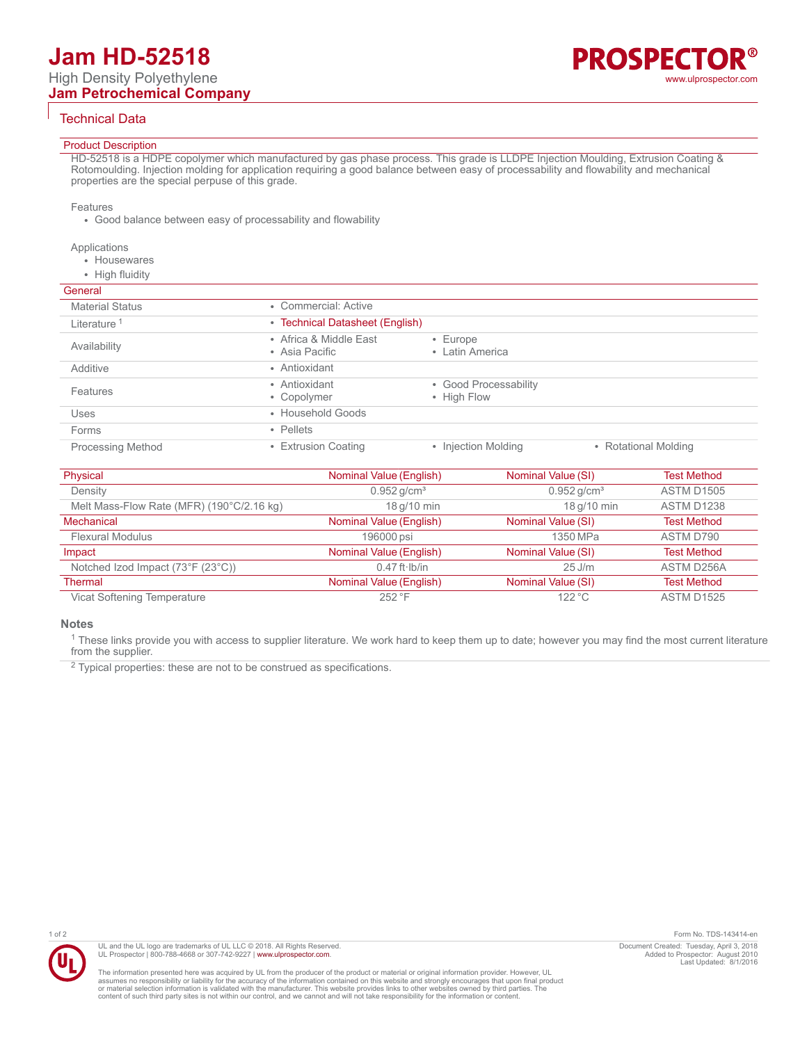# Technical Data

# Product Description

HD-52518 is a HDPE copolymer which manufactured by gas phase process. This grade is LLDPE Injection Moulding, Extrusion Coating & Rotomoulding. Injection molding for application requiring a good balance between easy of processability and flowability and mechanical properties are the special perpuse of this grade.

#### Features

• Good balance between easy of processability and flowability

#### Applications

- Housewares
- High fluidity

## **General**

| General                  |                                          |                                      |                      |
|--------------------------|------------------------------------------|--------------------------------------|----------------------|
| <b>Material Status</b>   | • Commercial: Active                     |                                      |                      |
| Literature <sup>1</sup>  | • Technical Datasheet (English)          |                                      |                      |
| Availability             | • Africa & Middle East<br>• Asia Pacific | $\cdot$ Europe<br>• Latin America    |                      |
| Additive                 | • Antioxidant                            |                                      |                      |
| Features                 | • Antioxidant<br>• Copolymer             | • Good Processability<br>• High Flow |                      |
| Uses                     | • Household Goods                        |                                      |                      |
| Forms                    | • Pellets                                |                                      |                      |
| <b>Processing Method</b> | • Extrusion Coating                      | • Injection Molding                  | • Rotational Molding |

| Physical                                  | Nominal Value (English)   | Nominal Value (SI)        | <b>Test Method</b> |
|-------------------------------------------|---------------------------|---------------------------|--------------------|
| Density                                   | $0.952$ g/cm <sup>3</sup> | $0.952$ g/cm <sup>3</sup> | <b>ASTM D1505</b>  |
| Melt Mass-Flow Rate (MFR) (190°C/2.16 kg) | 18 g/10 min               | 18 g/10 min               | <b>ASTM D1238</b>  |
| Mechanical                                | Nominal Value (English)   | Nominal Value (SI)        | <b>Test Method</b> |
| <b>Flexural Modulus</b>                   | 196000 psi                | 1350 MPa                  | ASTM D790          |
| Impact                                    | Nominal Value (English)   | Nominal Value (SI)        | <b>Test Method</b> |
| Notched Izod Impact (73°F (23°C))         | $0.47$ ft $\cdot$ Ib/in   | $25$ J/m                  | ASTM D256A         |
| Thermal                                   | Nominal Value (English)   | Nominal Value (SI)        | <b>Test Method</b> |
| Vicat Softening Temperature               | 252 °F                    | 122 °C                    | <b>ASTM D1525</b>  |

#### **Notes**

<sup>1</sup> These links provide you with access to supplier literature. We work hard to keep them up to date; however you may find the most current literature from the supplier.

 $2$  Typical properties: these are not to be construed as specifications.



UL and the UL logo are trademarks of UL LLC © 2018. All Rights Reserved. UL Prospector | 800-788-4668 or 307-742-9227 | [www.ulprospector.com](http://www.ulprospector.com).

The information presented here was acquired by UL from the producer of the product or material or original information provider. However, UL<br>assumes no responsibility or liability for the accuracy of the information contai